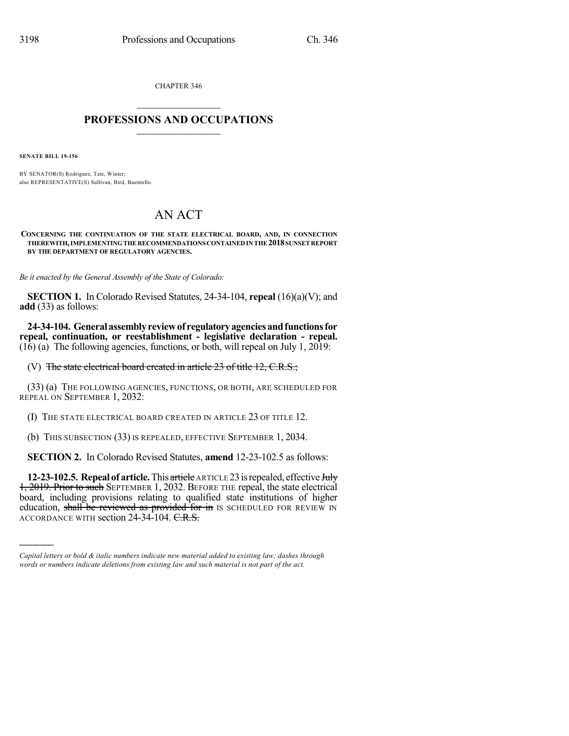CHAPTER 346

## $\mathcal{L}_\text{max}$  . The set of the set of the set of the set of the set of the set of the set of the set of the set of the set of the set of the set of the set of the set of the set of the set of the set of the set of the set **PROFESSIONS AND OCCUPATIONS**  $\frac{1}{2}$  ,  $\frac{1}{2}$  ,  $\frac{1}{2}$  ,  $\frac{1}{2}$  ,  $\frac{1}{2}$  ,  $\frac{1}{2}$  ,  $\frac{1}{2}$

**SENATE BILL 19-156**

)))))

BY SENATOR(S) Rodriguez, Tate, Winter; also REPRESENTATIVE(S) Sullivan, Bird, Buentello.

## AN ACT

**CONCERNING THE CONTINUATION OF THE STATE ELECTRICAL BOARD, AND, IN CONNECTION THEREWITH,IMPLEMENTINGTHERECOMMENDATIONSCONTAINEDINTHE2018SUNSETREPORT BY THE DEPARTMENT OF REGULATORY AGENCIES.**

*Be it enacted by the General Assembly of the State of Colorado:*

**SECTION 1.** In Colorado Revised Statutes, 24-34-104, **repeal** (16)(a)(V); and **add** (33) as follows:

**24-34-104. Generalassemblyreviewof regulatoryagenciesandfunctionsfor repeal, continuation, or reestablishment - legislative declaration - repeal.**  $(16)$  (a) The following agencies, functions, or both, will repeal on July 1, 2019:

(V) The state electrical board created in article 23 of title 12, C.R.S.;

(33) (a) THE FOLLOWING AGENCIES, FUNCTIONS, OR BOTH, ARE SCHEDULED FOR REPEAL ON SEPTEMBER 1, 2032:

(I) THE STATE ELECTRICAL BOARD CREATED IN ARTICLE 23 OF TITLE 12.

(b) THIS SUBSECTION (33) IS REPEALED, EFFECTIVE SEPTEMBER 1, 2034.

**SECTION 2.** In Colorado Revised Statutes, **amend** 12-23-102.5 as follows:

**12-23-102.5. Repeal of article.**This article ARTICLE 23isrepealed, effective July 1, 2019. Prior to such SEPTEMBER 1, 2032. BEFORE THE repeal, the state electrical board, including provisions relating to qualified state institutions of higher education, shall be reviewed as provided for in IS SCHEDULED FOR REVIEW IN ACCORDANCE WITH section 24-34-104. C.R.S.

*Capital letters or bold & italic numbers indicate new material added to existing law; dashes through words or numbers indicate deletions from existing law and such material is not part of the act.*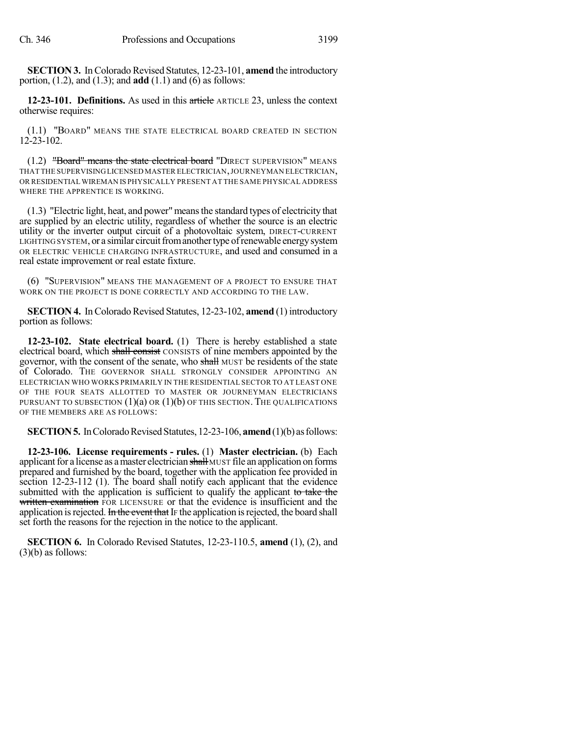**SECTION 3.** In Colorado Revised Statutes, 12-23-101, **amend** the introductory portion, (1.2), and (1.3); and **add** (1.1) and (6) as follows:

**12-23-101. Definitions.** As used in this article ARTICLE 23, unless the context otherwise requires:

(1.1) "BOARD" MEANS THE STATE ELECTRICAL BOARD CREATED IN SECTION 12-23-102.

 $(1.2)$  "Board" means the state electrical board "DIRECT SUPERVISION" MEANS THAT THE SUPERVISINGLICENSED MASTER ELECTRICIAN,JOURNEYMAN ELECTRICIAN, OR RESIDENTIAL WIREMAN IS PHYSICALLY PRESENT AT THE SAME PHYSICAL ADDRESS WHERE THE APPRENTICE IS WORKING.

(1.3) "Electric light, heat, and power"meansthe standard types of electricity that are supplied by an electric utility, regardless of whether the source is an electric utility or the inverter output circuit of a photovoltaic system, DIRECT-CURRENT LIGHTING SYSTEM, or a similar circuit from another type of renewable energy system OR ELECTRIC VEHICLE CHARGING INFRASTRUCTURE, and used and consumed in a real estate improvement or real estate fixture.

(6) "SUPERVISION" MEANS THE MANAGEMENT OF A PROJECT TO ENSURE THAT WORK ON THE PROJECT IS DONE CORRECTLY AND ACCORDING TO THE LAW.

**SECTION 4.** In Colorado Revised Statutes, 12-23-102, **amend** (1) introductory portion as follows:

**12-23-102. State electrical board.** (1) There is hereby established a state electrical board, which shall consist CONSISTS of nine members appointed by the governor, with the consent of the senate, who shall MUST be residents of the state of Colorado. THE GOVERNOR SHALL STRONGLY CONSIDER APPOINTING AN ELECTRICIAN WHO WORKS PRIMARILY IN THE RESIDENTIAL SECTOR TO AT LEAST ONE OF THE FOUR SEATS ALLOTTED TO MASTER OR JOURNEYMAN ELECTRICIANS PURSUANT TO SUBSECTION  $(1)(a)$  OR  $(1)(b)$  OF THIS SECTION. THE QUALIFICATIONS OF THE MEMBERS ARE AS FOLLOWS:

**SECTION 5.** In Colorado Revised Statutes, 12-23-106, **amend** (1)(b) as follows:

**12-23-106. License requirements - rules.** (1) **Master electrician.** (b) Each applicant for a license as a master electrician shall MUST file an application on forms prepared and furnished by the board, together with the application fee provided in section 12-23-112 (1). The board shall notify each applicant that the evidence submitted with the application is sufficient to qualify the applicant to take the written examination FOR LICENSURE or that the evidence is insufficient and the application is rejected.  $\frac{1}{2}$  in the event that IF the application is rejected, the board shall set forth the reasons for the rejection in the notice to the applicant.

**SECTION 6.** In Colorado Revised Statutes, 12-23-110.5, **amend** (1), (2), and (3)(b) as follows: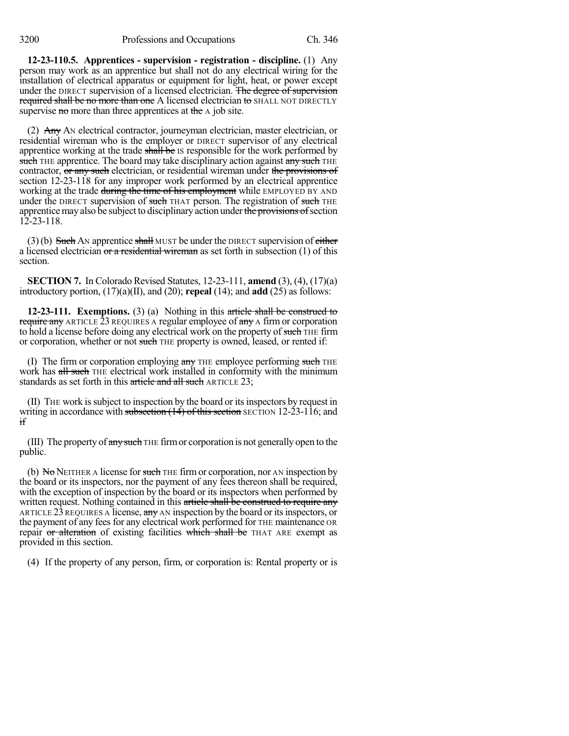**12-23-110.5. Apprentices - supervision - registration - discipline.** (1) Any person may work as an apprentice but shall not do any electrical wiring for the installation of electrical apparatus or equipment for light, heat, or power except under the DIRECT supervision of a licensed electrician. The degree of supervision required shall be no more than one A licensed electrician to SHALL NOT DIRECTLY supervise no more than three apprentices at the A job site.

(2) Any AN electrical contractor, journeyman electrician, master electrician, or residential wireman who is the employer or DIRECT supervisor of any electrical apprentice working at the trade shall be IS responsible for the work performed by such THE apprentice. The board may take disciplinary action against any such THE contractor, or any such electrician, or residential wireman under the provisions of section 12-23-118 for any improper work performed by an electrical apprentice working at the trade during the time of his employment while EMPLOYED BY AND under the DIRECT supervision of such THAT person. The registration of such THE apprentice may also be subject to disciplinary action under the provisions of section 12-23-118.

 $(3)$ (b) Such AN apprentice shall MUST be under the DIRECT supervision of either a licensed electrician or a residential wireman as set forth in subsection  $(1)$  of this section.

**SECTION 7.** In Colorado Revised Statutes, 12-23-111, **amend** (3), (4), (17)(a) introductory portion, (17)(a)(II), and (20); **repeal** (14); and **add** (25) as follows:

**12-23-111. Exemptions.** (3) (a) Nothing in this article shall be construed to require any ARTICLE  $\bar{2}3$  REQUIRES A regular employee of any A firm or corporation to hold a license before doing any electrical work on the property of such THE firm or corporation, whether or not such THE property is owned, leased, or rented if:

(I) The firm or corporation employing  $a$ ny THE employee performing such THE work has all such THE electrical work installed in conformity with the minimum standards as set forth in this article and all such ARTICLE 23;

(II) THE work issubject to inspection by the board or itsinspectors by request in writing in accordance with subsection  $(14)$  of this section SECTION 12-23-116; and if

(III) The property of  $\frac{any \text{ such}}{any \text{ if}}$  The firm or corporation is not generally open to the public.

(b)  $N\sigma$  NEITHER A license for such THE firm or corporation, nor AN inspection by the board or its inspectors, nor the payment of any fees thereon shall be required, with the exception of inspection by the board or its inspectors when performed by written request. Nothing contained in this article shall be construed to require any ARTICLE 23 REQUIRES A license,  $\frac{\text{any}}{\text{any}}$  and inspection by the board or its inspectors, or the payment of any feesfor any electrical work performed for THE maintenance OR repair or alteration of existing facilities which shall be THAT ARE exempt as provided in this section.

(4) If the property of any person, firm, or corporation is: Rental property or is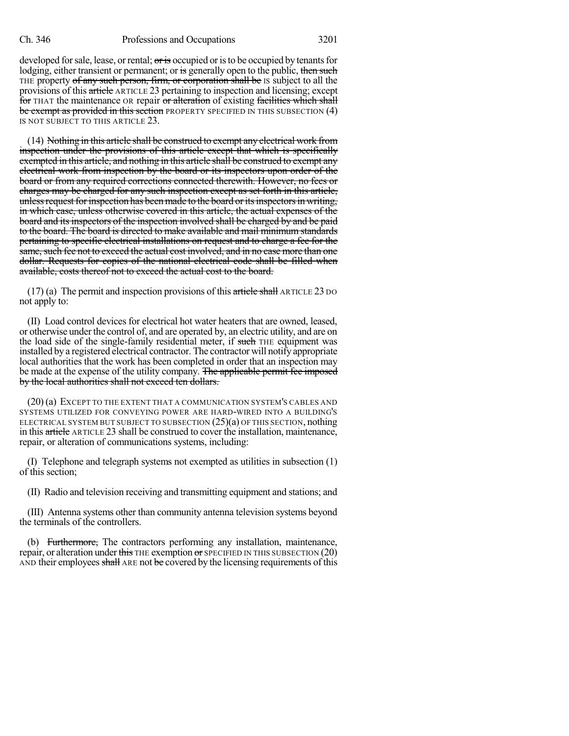developed for sale, lease, or rental;  $\sigma$  is occupied or is to be occupied by tenants for lodging, either transient or permanent; or is generally open to the public, then such THE property of any such person, firm, or corporation shall be IS subject to all the provisions of this article ARTICLE 23 pertaining to inspection and licensing; except for THAT the maintenance OR repair or alteration of existing facilities which shall be exempt as provided in this section PROPERTY SPECIFIED IN THIS SUBSECTION (4) IS NOT SUBJECT TO THIS ARTICLE 23.

(14) Nothing in this article shall be construed to exempt any electrical work from inspection under the provisions of this article except that which is specifically exempted in this article, and nothing in this article shall be construed to exempt any electrical work from inspection by the board or its inspectors upon order of the board or from any required corrections connected therewith. However, no fees or charges may be charged for any such inspection except as set forth in this article, unless request for inspection has been made to the board or its inspectors in writing, in which case, unless otherwise covered in this article, the actual expenses of the board and its inspectors of the inspection involved shall be charged by and be paid to the board. The board is directed to make available and mail minimum standards pertaining to specific electrical installations on request and to charge a fee for the same, such fee not to exceed the actual cost involved, and in no case more than one dollar. Requests for copies of the national electrical code shall be filled when available, costs thereof not to exceed the actual cost to the board.

 $(17)$  (a) The permit and inspection provisions of this article shall ARTICLE 23 DO not apply to:

(II) Load control devices for electrical hot water heaters that are owned, leased, or otherwise under the control of, and are operated by, an electric utility, and are on the load side of the single-family residential meter, if such THE equipment was installed by a registered electrical contractor. The contractor will notify appropriate local authorities that the work has been completed in order that an inspection may be made at the expense of the utility company. The applicable permit fee imposed by the local authorities shall not exceed ten dollars.

(20) (a) EXCEPT TO THE EXTENT THAT A COMMUNICATION SYSTEM'S CABLES AND SYSTEMS UTILIZED FOR CONVEYING POWER ARE HARD-WIRED INTO A BUILDING'S ELECTRICAL SYSTEM BUT SUBJECT TO SUBSECTION (25)(a) OF THIS SECTION, nothing in this article ARTICLE 23 shall be construed to cover the installation, maintenance, repair, or alteration of communications systems, including:

(I) Telephone and telegraph systems not exempted as utilities in subsection (1) of this section;

(II) Radio and television receiving and transmitting equipment and stations; and

(III) Antenna systems other than community antenna television systems beyond the terminals of the controllers.

(b) Furthermore, The contractors performing any installation, maintenance, repair, or alteration under this THE exemption or SPECIFIED IN THIS SUBSECTION  $(20)$ AND their employees shall ARE not be covered by the licensing requirements of this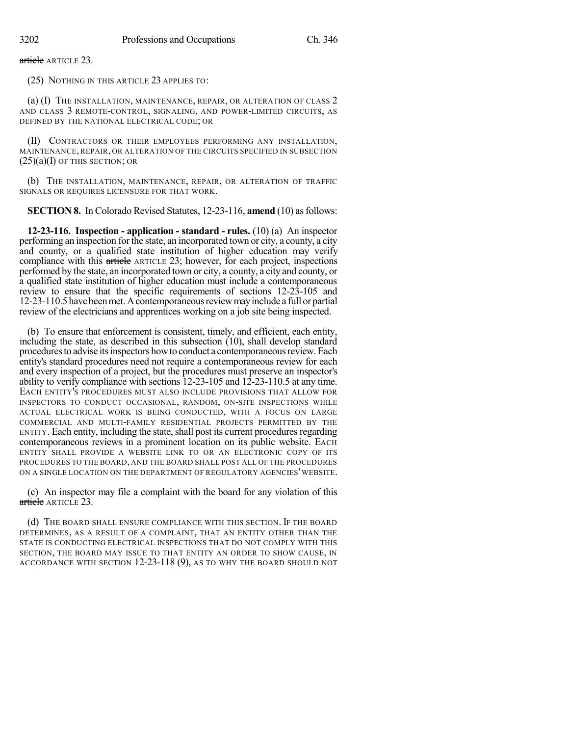article ARTICLE 23.

(25) NOTHING IN THIS ARTICLE 23 APPLIES TO:

(a) (I) THE INSTALLATION, MAINTENANCE, REPAIR, OR ALTERATION OF CLASS 2 AND CLASS 3 REMOTE-CONTROL, SIGNALING, AND POWER-LIMITED CIRCUITS, AS DEFINED BY THE NATIONAL ELECTRICAL CODE; OR

(II) CONTRACTORS OR THEIR EMPLOYEES PERFORMING ANY INSTALLATION, MAINTENANCE, REPAIR, OR ALTERATION OF THE CIRCUITS SPECIFIED IN SUBSECTION  $(25)(a)(I)$  OF THIS SECTION; OR

(b) THE INSTALLATION, MAINTENANCE, REPAIR, OR ALTERATION OF TRAFFIC SIGNALS OR REQUIRES LICENSURE FOR THAT WORK.

**SECTION 8.** In Colorado Revised Statutes, 12-23-116, **amend** (10) as follows:

**12-23-116. Inspection - application - standard - rules.** (10) (a) An inspector performing an inspection for the state, an incorporated town or city, a county, a city and county, or a qualified state institution of higher education may verify compliance with this article ARTICLE 23; however, for each project, inspections performed by the state, an incorporated town or city, a county, a city and county, or a qualified state institution of higher education must include a contemporaneous review to ensure that the specific requirements of sections 12-23-105 and 12-23-110.5 havebeenmet.Acontemporaneousreviewmayinclude a full or partial review of the electricians and apprentices working on a job site being inspected.

(b) To ensure that enforcement is consistent, timely, and efficient, each entity, including the state, as described in this subsection (10), shall develop standard procedures to advise its inspectors how to conduct a contemporaneous review. Each entity's standard procedures need not require a contemporaneous review for each and every inspection of a project, but the procedures must preserve an inspector's ability to verify compliance with sections 12-23-105 and 12-23-110.5 at any time. EACH ENTITY'S PROCEDURES MUST ALSO INCLUDE PROVISIONS THAT ALLOW FOR INSPECTORS TO CONDUCT OCCASIONAL, RANDOM, ON-SITE INSPECTIONS WHILE ACTUAL ELECTRICAL WORK IS BEING CONDUCTED, WITH A FOCUS ON LARGE COMMERCIAL AND MULTI-FAMILY RESIDENTIAL PROJECTS PERMITTED BY THE ENTITY. Each entity, including the state, shall post its current procedures regarding contemporaneous reviews in a prominent location on its public website. EACH ENTITY SHALL PROVIDE A WEBSITE LINK TO OR AN ELECTRONIC COPY OF ITS PROCEDURES TO THE BOARD, AND THE BOARD SHALL POST ALL OF THE PROCEDURES ON A SINGLE LOCATION ON THE DEPARTMENT OF REGULATORY AGENCIES' WEBSITE.

(c) An inspector may file a complaint with the board for any violation of this article ARTICLE 23.

(d) THE BOARD SHALL ENSURE COMPLIANCE WITH THIS SECTION. IF THE BOARD DETERMINES, AS A RESULT OF A COMPLAINT, THAT AN ENTITY OTHER THAN THE STATE IS CONDUCTING ELECTRICAL INSPECTIONS THAT DO NOT COMPLY WITH THIS SECTION, THE BOARD MAY ISSUE TO THAT ENTITY AN ORDER TO SHOW CAUSE, IN ACCORDANCE WITH SECTION 12-23-118 (9), AS TO WHY THE BOARD SHOULD NOT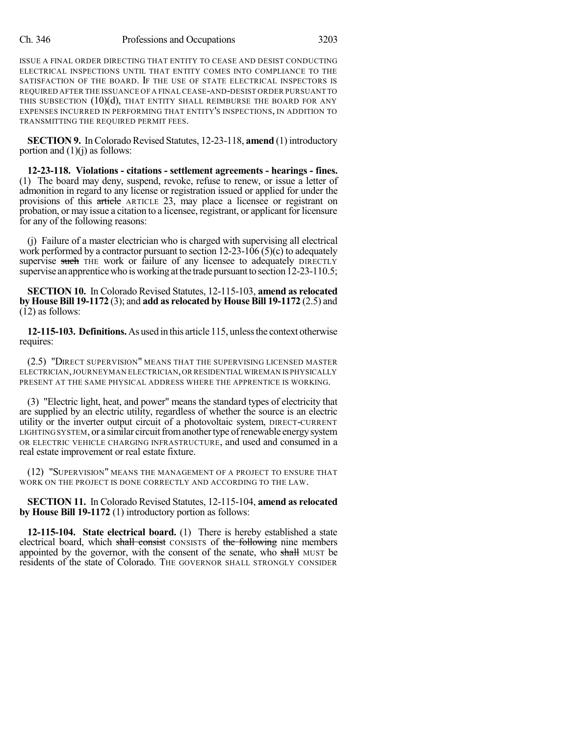ISSUE A FINAL ORDER DIRECTING THAT ENTITY TO CEASE AND DESIST CONDUCTING ELECTRICAL INSPECTIONS UNTIL THAT ENTITY COMES INTO COMPLIANCE TO THE SATISFACTION OF THE BOARD. IF THE USE OF STATE ELECTRICAL INSPECTORS IS REQUIRED AFTER THE ISSUANCE OF A FINAL CEASE-AND-DESIST ORDER PURSUANT TO THIS SUBSECTION (10)(d), THAT ENTITY SHALL REIMBURSE THE BOARD FOR ANY EXPENSES INCURRED IN PERFORMING THAT ENTITY'S INSPECTIONS, IN ADDITION TO TRANSMITTING THE REQUIRED PERMIT FEES.

**SECTION 9.** In Colorado Revised Statutes, 12-23-118, **amend** (1) introductory portion and  $(1)(j)$  as follows:

**12-23-118. Violations - citations - settlement agreements - hearings - fines.** (1) The board may deny, suspend, revoke, refuse to renew, or issue a letter of admonition in regard to any license or registration issued or applied for under the provisions of this article ARTICLE 23, may place a licensee or registrant on probation, or may issue a citation to a licensee, registrant, or applicant for licensure for any of the following reasons:

(j) Failure of a master electrician who is charged with supervising all electrical work performed by a contractor pursuant to section  $12-23-106$  (5)(c) to adequately supervise such THE work or failure of any licensee to adequately DIRECTLY supervise an apprentice who is working at the trade pursuant to section 12-23-110.5;

**SECTION 10.** In Colorado Revised Statutes, 12-115-103, **amend as relocated by House Bill 19-1172** (3); and **add as relocated by HouseBill 19-1172** (2.5) and (12) as follows:

**12-115-103. Definitions.**As used in this article 115, unlessthe context otherwise requires:

(2.5) "DIRECT SUPERVISION" MEANS THAT THE SUPERVISING LICENSED MASTER ELECTRICIAN,JOURNEYMAN ELECTRICIAN,OR RESIDENTIAL WIREMAN IS PHYSICALLY PRESENT AT THE SAME PHYSICAL ADDRESS WHERE THE APPRENTICE IS WORKING.

(3) "Electric light, heat, and power" means the standard types of electricity that are supplied by an electric utility, regardless of whether the source is an electric utility or the inverter output circuit of a photovoltaic system, DIRECT-CURRENT LIGHTING SYSTEM, or a similar circuit from another type of renewable energy system OR ELECTRIC VEHICLE CHARGING INFRASTRUCTURE, and used and consumed in a real estate improvement or real estate fixture.

(12) "SUPERVISION" MEANS THE MANAGEMENT OF A PROJECT TO ENSURE THAT WORK ON THE PROJECT IS DONE CORRECTLY AND ACCORDING TO THE LAW.

**SECTION 11.** In Colorado Revised Statutes, 12-115-104, **amend as relocated by House Bill 19-1172** (1) introductory portion as follows:

**12-115-104. State electrical board.** (1) There is hereby established a state electrical board, which shall consist CONSISTS of the following nine members appointed by the governor, with the consent of the senate, who shall MUST be residents of the state of Colorado. THE GOVERNOR SHALL STRONGLY CONSIDER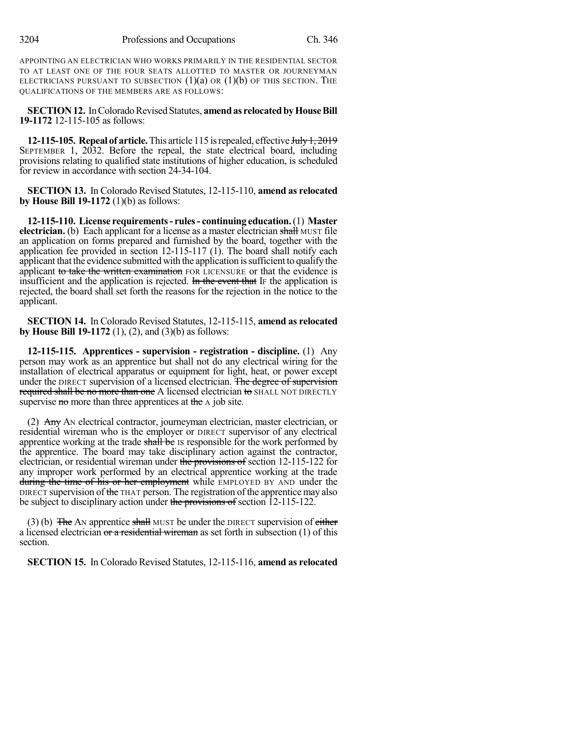APPOINTING AN ELECTRICIAN WHO WORKS PRIMARILY IN THE RESIDENTIAL SECTOR TO AT LEAST ONE OF THE FOUR SEATS ALLOTTED TO MASTER OR JOURNEYMAN ELECTRICIANS PURSUANT TO SUBSECTION  $(1)(a)$  OR  $(1)(b)$  OF THIS SECTION. THE QUALIFICATIONS OF THE MEMBERS ARE AS FOLLOWS:

**SECTION 12.** In Colorado Revised Statutes, **amend as relocated by House Bill 19-1172** 12-115-105 as follows:

**12-115-105. Repeal of article.** This article 115 is repealed, effective July 1, 2019 SEPTEMBER 1, 2032. Before the repeal, the state electrical board, including provisions relating to qualified state institutions of higher education, is scheduled for review in accordance with section 24-34-104.

**SECTION 13.** In Colorado Revised Statutes, 12-115-110, **amend as relocated by House Bill 19-1172** (1)(b) as follows:

**12-115-110. License requirements- rules- continuing education.**(1) **Master electrician.** (b) Each applicant for a license as a master electrician shall MUST file an application on forms prepared and furnished by the board, together with the application fee provided in section 12-115-117 (1). The board shall notify each applicant that the evidence submitted with the application issufficient to qualify the applicant to take the written examination FOR LICENSURE or that the evidence is insufficient and the application is rejected. In the event that IF the application is rejected, the board shall set forth the reasons for the rejection in the notice to the applicant.

**SECTION 14.** In Colorado Revised Statutes, 12-115-115, **amend as relocated by House Bill 19-1172** (1), (2), and (3)(b) as follows:

**12-115-115. Apprentices - supervision - registration - discipline.** (1) Any person may work as an apprentice but shall not do any electrical wiring for the installation of electrical apparatus or equipment for light, heat, or power except under the DIRECT supervision of a licensed electrician. The degree of supervision required shall be no more than one A licensed electrician to SHALL NOT DIRECTLY supervise no more than three apprentices at the A job site.

(2) Any AN electrical contractor, journeyman electrician, master electrician, or residential wireman who is the employer or DIRECT supervisor of any electrical apprentice working at the trade shall be IS responsible for the work performed by the apprentice. The board may take disciplinary action against the contractor, electrician, or residential wireman under the provisions of section 12-115-122 for any improper work performed by an electrical apprentice working at the trade during the time of his or her employment while EMPLOYED BY AND under the DIRECT supervision of the THAT person. The registration of the apprentice may also be subject to disciplinary action under the provisions of section 12-115-122.

 $(3)$  (b) The AN apprentice shall MUST be under the DIRECT supervision of either a licensed electrician or a residential wireman as set forth in subsection  $(1)$  of this section.

**SECTION 15.** In Colorado Revised Statutes, 12-115-116, **amend as relocated**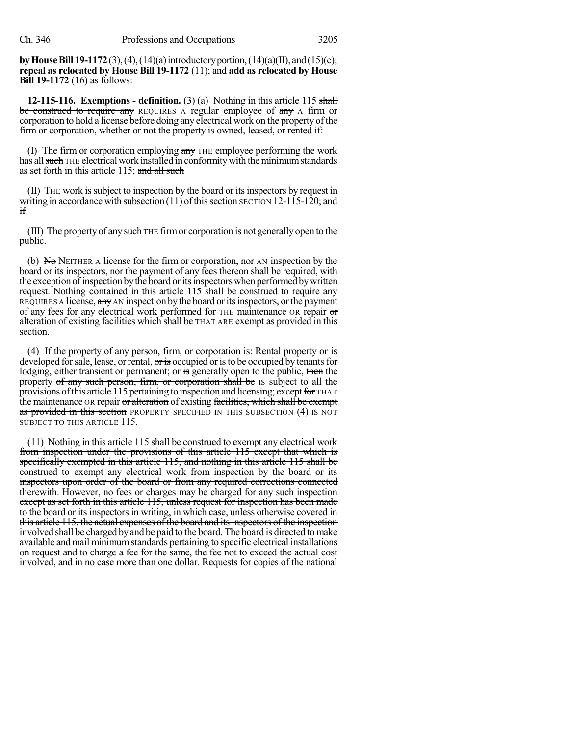**byHouseBill 19-1172**(3),(4),(14)(a)introductoryportion,(14)(a)(II), and(15)(c); **repeal as relocated by House Bill 19-1172** (11); and **add as relocated by House Bill 19-1172** (16) as follows:

**12-115-116.** Exemptions - definition. (3) (a) Nothing in this article 115 shall be construed to require any REQUIRES A regular employee of any A firm or corporation to hold a license before doing any electrical work on the property of the firm or corporation, whether or not the property is owned, leased, or rented if:

(I) The firm or corporation employing  $\frac{\partial f}{\partial x}$  THE employee performing the work has all such THE electrical work installed in conformity with the minimum standards as set forth in this article 115; and all such

(II) THE work issubject to inspection by the board or itsinspectors by request in writing in accordance with subsection  $(11)$  of this section SECTION 12-115-120; and if

(III) The property of  $\frac{any}{long}$  THE firm or corporation is not generally open to the public.

(b)  $N\sigma$  NEITHER A license for the firm or corporation, nor AN inspection by the board or its inspectors, nor the payment of any fees thereon shall be required, with the exception of inspection by the board or its inspectors when performed by written request. Nothing contained in this article 115 shall be construed to require any REQUIRES A license, any AN inspection by the board or its inspectors, or the payment of any fees for any electrical work performed for THE maintenance OR repair or alteration of existing facilities which shall be THAT ARE exempt as provided in this section.

(4) If the property of any person, firm, or corporation is: Rental property or is developed for sale, lease, or rental,  $\sigma$  is occupied or is to be occupied by tenants for lodging, either transient or permanent; or is generally open to the public, then the property of any such person, firm, or corporation shall be IS subject to all the provisions of this article 115 pertaining to inspection and licensing; except for THAT the maintenance OR repair or alteration of existing facilities, which shall be exempt as provided in this section PROPERTY SPECIFIED IN THIS SUBSECTION (4) IS NOT SUBJECT TO THIS ARTICLE 115.

(11) Nothing in this article 115 shall be construed to exempt any electrical work from inspection under the provisions of this article 115 except that which is specifically exempted in this article 115, and nothing in this article 115 shall be construed to exempt any electrical work from inspection by the board or its inspectors upon order of the board or from any required corrections connected therewith. However, no fees or charges may be charged for any such inspection except as set forth in this article 115, unless request for inspection has been made to the board or its inspectors in writing, in which case, unless otherwise covered in this article 115, the actual expenses of the board and itsinspectors of the inspection involved shall be charged by and be paid to the board. The board is directed to make available and mail minimum standards pertaining to specific electrical installations on request and to charge a fee for the same, the fee not to exceed the actual cost involved, and in no case more than one dollar. Requests for copies of the national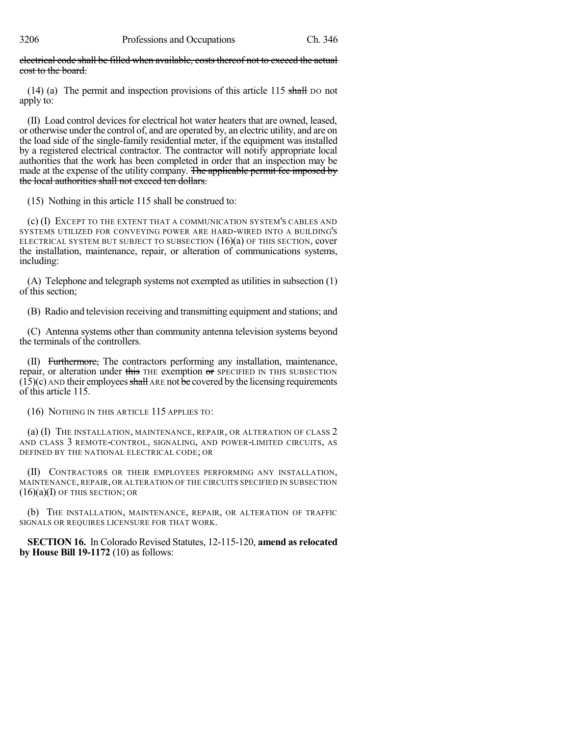electrical code shall be filled when available, costs thereof not to exceed the actual cost to the board.

(14) (a) The permit and inspection provisions of this article 115 shall DO not apply to:

(II) Load control devices for electrical hot water heaters that are owned, leased, or otherwise under the control of, and are operated by, an electric utility, and are on the load side of the single-family residential meter, if the equipment was installed by a registered electrical contractor. The contractor will notify appropriate local authorities that the work has been completed in order that an inspection may be made at the expense of the utility company. The applicable permit fee imposed by the local authorities shall not exceed ten dollars.

(15) Nothing in this article 115 shall be construed to:

(c) (I) EXCEPT TO THE EXTENT THAT A COMMUNICATION SYSTEM'S CABLES AND SYSTEMS UTILIZED FOR CONVEYING POWER ARE HARD-WIRED INTO A BUILDING'S ELECTRICAL SYSTEM BUT SUBJECT TO SUBSECTION (16)(a) OF THIS SECTION, cover the installation, maintenance, repair, or alteration of communications systems, including:

(A) Telephone and telegraph systems not exempted as utilities in subsection (1) of this section;

(B) Radio and television receiving and transmitting equipment and stations; and

(C) Antenna systems other than community antenna television systems beyond the terminals of the controllers.

(II) Furthermore, The contractors performing any installation, maintenance, repair, or alteration under this THE exemption or SPECIFIED IN THIS SUBSECTION  $(15)(c)$  AND their employees shall ARE not be covered by the licensing requirements of this article 115.

(16) NOTHING IN THIS ARTICLE 115 APPLIES TO:

(a) (I) THE INSTALLATION, MAINTENANCE, REPAIR, OR ALTERATION OF CLASS 2 AND CLASS 3 REMOTE-CONTROL, SIGNALING, AND POWER-LIMITED CIRCUITS, AS DEFINED BY THE NATIONAL ELECTRICAL CODE; OR

(II) CONTRACTORS OR THEIR EMPLOYEES PERFORMING ANY INSTALLATION, MAINTENANCE, REPAIR, OR ALTERATION OF THE CIRCUITS SPECIFIED IN SUBSECTION  $(16)(a)$ (I) of this section; or

(b) THE INSTALLATION, MAINTENANCE, REPAIR, OR ALTERATION OF TRAFFIC SIGNALS OR REQUIRES LICENSURE FOR THAT WORK.

**SECTION 16.** In Colorado Revised Statutes, 12-115-120, **amend as relocated by House Bill 19-1172** (10) as follows: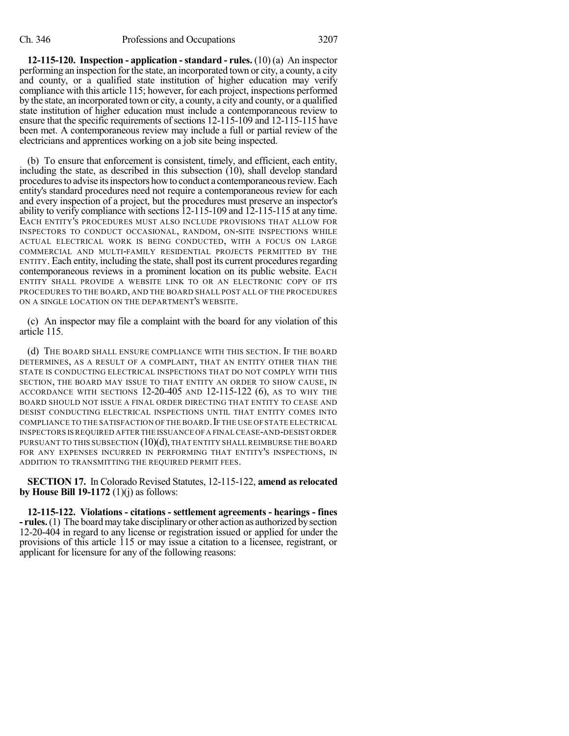**12-115-120. Inspection - application -standard - rules.** (10) (a) An inspector performing an inspection for the state, an incorporated town or city, a county, a city and county, or a qualified state institution of higher education may verify compliance with this article 115; however, for each project, inspections performed by the state, an incorporated town or city, a county, a city and county, or a qualified state institution of higher education must include a contemporaneous review to ensure that the specific requirements of sections 12-115-109 and 12-115-115 have been met. A contemporaneous review may include a full or partial review of the electricians and apprentices working on a job site being inspected.

(b) To ensure that enforcement is consistent, timely, and efficient, each entity, including the state, as described in this subsection (10), shall develop standard proceduresto advise itsinspectors howto conduct a contemporaneousreview.Each entity's standard procedures need not require a contemporaneous review for each and every inspection of a project, but the procedures must preserve an inspector's ability to verify compliance with sections 12-115-109 and 12-115-115 at any time. EACH ENTITY'S PROCEDURES MUST ALSO INCLUDE PROVISIONS THAT ALLOW FOR INSPECTORS TO CONDUCT OCCASIONAL, RANDOM, ON-SITE INSPECTIONS WHILE ACTUAL ELECTRICAL WORK IS BEING CONDUCTED, WITH A FOCUS ON LARGE COMMERCIAL AND MULTI-FAMILY RESIDENTIAL PROJECTS PERMITTED BY THE ENTITY. Each entity, including the state, shall post its current procedures regarding contemporaneous reviews in a prominent location on its public website. EACH ENTITY SHALL PROVIDE A WEBSITE LINK TO OR AN ELECTRONIC COPY OF ITS PROCEDURES TO THE BOARD, AND THE BOARD SHALL POST ALL OF THE PROCEDURES ON A SINGLE LOCATION ON THE DEPARTMENT'S WEBSITE.

(c) An inspector may file a complaint with the board for any violation of this article 115.

(d) THE BOARD SHALL ENSURE COMPLIANCE WITH THIS SECTION. IF THE BOARD DETERMINES, AS A RESULT OF A COMPLAINT, THAT AN ENTITY OTHER THAN THE STATE IS CONDUCTING ELECTRICAL INSPECTIONS THAT DO NOT COMPLY WITH THIS SECTION, THE BOARD MAY ISSUE TO THAT ENTITY AN ORDER TO SHOW CAUSE, IN ACCORDANCE WITH SECTIONS  $12$ - $20$ - $405$  and  $12$ - $115$ - $122$  (6), as to why the BOARD SHOULD NOT ISSUE A FINAL ORDER DIRECTING THAT ENTITY TO CEASE AND DESIST CONDUCTING ELECTRICAL INSPECTIONS UNTIL THAT ENTITY COMES INTO COMPLIANCE TO THE SATISFACTION OF THE BOARD. IF THE USE OF STATE ELECTRICAL INSPECTORS IS REQUIRED AFTER THE ISSUANCE OFA FINAL CEASE-AND-DESIST ORDER PURSUANT TO THIS SUBSECTION  $(10)(d)$ , THAT ENTITY SHALL REIMBURSE THE BOARD FOR ANY EXPENSES INCURRED IN PERFORMING THAT ENTITY'S INSPECTIONS, IN ADDITION TO TRANSMITTING THE REQUIRED PERMIT FEES.

**SECTION 17.** In Colorado Revised Statutes, 12-115-122, **amend as relocated by House Bill 19-1172** (1)(j) as follows:

**12-115-122. Violations - citations - settlement agreements - hearings - fines - rules.**(1) The boardmay take disciplinary or other action as authorized bysection 12-20-404 in regard to any license or registration issued or applied for under the provisions of this article 115 or may issue a citation to a licensee, registrant, or applicant for licensure for any of the following reasons: